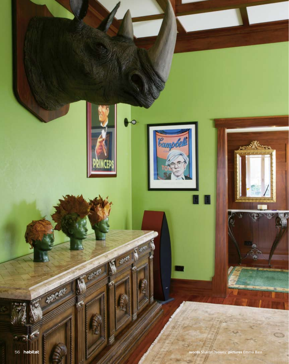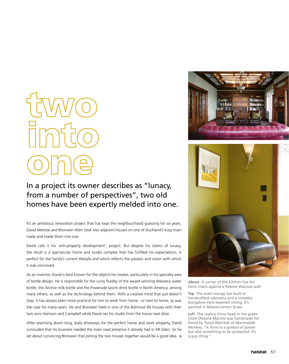#### In a project its owner describes as "lunacy, from a number of perspectives", two old homes have been expertly melded into one.

It's an ambitious renovation project that has kept the neighbourhood guessing for six years. David Melrose and Bronwen Allen took two adjacent houses on one of Auckland's busy main roads and made them into one.

David calls it his 'anti-property development', project. But despite his claims of lunacy, the result is a spectacular home and studio complex that has fulfilled his expectations, is perfect for the family's current lifestyle and which reflects the passion and vision with which it was conceived.

As an inventor, David is best known for the objects he creates, particularly in his specialty area of bottle design. He is responsible for the curvy fluidity of the award-winning Waiwera water bottle, the Anchor milk bottle and the Powerade sports drink bottle in North America, among many others, as well as the technology behind them. With a creative mind that just doesn't stop, it has always been more practical for him to work from home - or next to home, as was the case for many years. He and Bronwen lived in one of the Balmoral Rd houses with their two sons Harrison and Campbell while David ran his studio from the house next door.

After searching down long, leafy driveways for the perfect home and work property, David concluded that his business needed the main road presence it already had in Mt Eden. So he set about convincing Bronwen that joining the two houses together would be a good idea.  $\rightarrow$ 





**Above** A corner of the kitchen has Art Deco chairs against a Resene Wazzup wall.

**Top** The main lounge has built-in handcrafted cabinetry and a complex bungalow-style beamed ceiling. It's painted in Resene Lemon Grass.

**Left** The replica rhino head in the green room (Resene Mantis) was handmade for David by Tanya Marriott of Marmalade Monkey. "A rhino is a symbol of power but also something to be protected. It's a guy thing."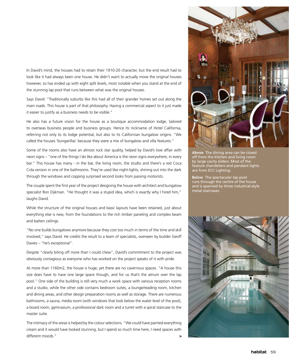In David's mind, the houses had to retain their 1910-20 character, but the end result had to look like it had always been one house. He didn't want to actually move the original houses however, so has ended up with eight split levels, most notable when you stand at the end of the stunning lap pool that runs between what was the original houses.

Says David: "Traditionally suburbs like this had all of their grander homes set out along the main roads. This house is part of that philosophy. Having a commercial aspect to it just made it easier to justify as a business needs to be visible."

He also has a future vision for the house as a boutique accommodation lodge, tailored to overseas business people and business groups. Hence its nickname of Hotel California, referring not only to its lodge potential, but also to its Californian bungalow origins. "We called the houses 'bungarillas' because they were a mix of bungalow and villa features."

Some of the rooms also have an almost rock star quality, helped by David's love affair with neon signs – "one of the things I do like about America is the neon signs everywhere, in every bar." This house has many - in the bar, the living room, the studio and there's a red Coca Cola version in one of the bathrooms. They're used like night-lights, shining out into the dark through the windows and copping surprised second looks from passing motorists.

The couple spent the first year of the project designing the house with architect and bungalow specialist Ron Dijkman. "He thought it was a stupid idea, which is exactly why I hired him," laughs David.

While the structure of the original houses and basic layouts have been retained, just about everything else is new, from the foundations to the rich timber paneling and complex beam and batten ceilings.

"No one builds bungalows anymore because they cost too much in terms of the time and skill involved," says David. He credits the result to a team of specialists, overseen by builder Geoff Davies – "he's exceptional".

Despite "clearly biting off more than I could chew", David's commitment to the project was obviously contagious as everyone who has worked on the project speaks of it with pride.

At more than 1160m2, the house is huge, yet there are no cavernous spaces. "A house this size does have to have one large space though, and for us that's the atrium over the lap pool." One side of the building is still very much a work space with various reception rooms and a studio, while the other side contains bedroom suites, a lounge/reading room, kitchen and dining areas, and other design preparation rooms as well as storage. There are numerous bathrooms, a sauna, media room (with windows that look below the water level of the pool), a board room, gymnasium, a professional dark room and a turret with a spiral staircase to the master suite.

The intimacy of the areas is helped by the colour selections. "We could have painted everything cream and it would have looked stunning, but I spend so much time here, I need spaces with different moods." >



**Above** The dining area can be closed off from the kitchen and living room by large cavity sliders. Most of the feature chandeliers and pendant lights are from ECC Lighting.

**Below** The spectacular lap pool runs through the centre of the house and is spanned by three industrial-style metal staircases.

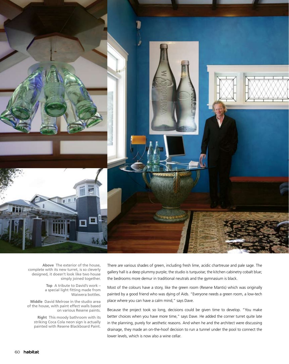

**Above** The exterior of the house, complete with its new turret, is so cleverly designed, it doesn't look like two house simply joined together.

> **Top** A tribute to David's work – a special light fitting made from Waiwera bottles.

**Middle** David Melrose in the studio area of the house, with paint effect walls based on various Resene paints.

**Right** This moody bathroom with its striking Coca Cola neon sign is actually painted with Resene Blackboard Paint. There are various shades of green, including fresh lime, acidic chartreuse and pale sage. The gallery hall is a deep plummy purple; the studio is turquoise; the kitchen cabinetry cobalt blue; the bedrooms more demur in traditional neutrals and the gymnasium is black.

Most of the colours have a story, like the green room (Resene Mantis) which was originally painted by a good friend who was dying of Aids. "Everyone needs a green room, a low-tech place where you can have a calm mind," says Dave.

Because the project took so long, decisions could be given time to develop. "You make better choices when you have more time," says Dave. He added the corner turret quite late in the planning, purely for aesthetic reasons. And when he and the architect were discussing drainage, they made an on-the-hoof decision to run a tunnel under the pool to connect the lower levels, which is now also a wine cellar.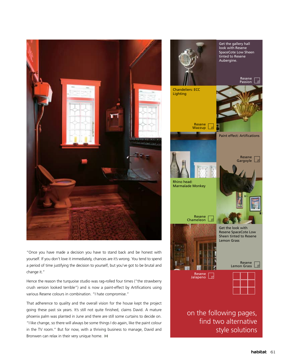

"Once you have made a decision you have to stand back and be honest with yourself. If you don't love it immediately, chances are it's wrong. You tend to spend a period of time justifying the decision to yourself, but you've got to be brutal and change it."

Hence the reason the turquoise studio was rag-rolled four times ("the strawberry crush version looked terrible") and is now a paint-effect by Artifications using various Resene colours in combination. "I hate compromise."

That adherence to quality and the overall vision for the house kept the project going these past six years. It's still not quite finished, claims David. A mature phoenix palm was planted in June and there are still some curtains to decide on. "I like change, so there will always be some things I do again, like the paint colour in the TV room." But for now, with a thriving business to manage, David and Bronwen can relax in their very unique home. H

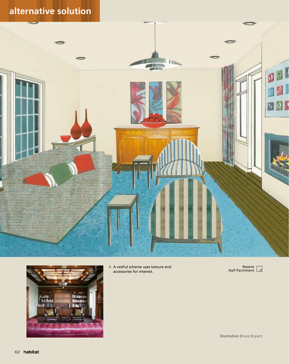### **alternative solution**





A A restful scheme uses texture and accessories for interest.

Resene Half Parchment

**illustration** Bruce Bryant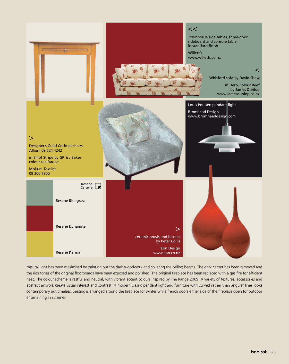

Natural light has been maximised by painting out the dark woodwork and covering the ceiling beams. The dark carpet has been removed and the rich tones of the original floorboards have been exposed and polished. The original fireplace has been replaced with a gas fire for efficient heat. The colour scheme is restful and neutral, with vibrant accent colours inspired by The Range 2009. A variety of textures, accessories and abstract artwork create visual interest and contrast. A modern classic pendant light and furniture with curved rather than angular lines looks contemporary but timeless. Seating is arranged around the fireplace for winter while french doors either side of the fireplace open for outdoor entertaining in summer.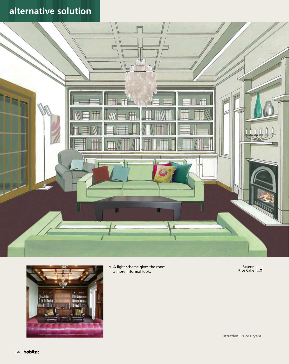## **alternative solution**





 $\wedge\;$  A light scheme gives the room a more informal look.



**illustration** Bruce Bryant